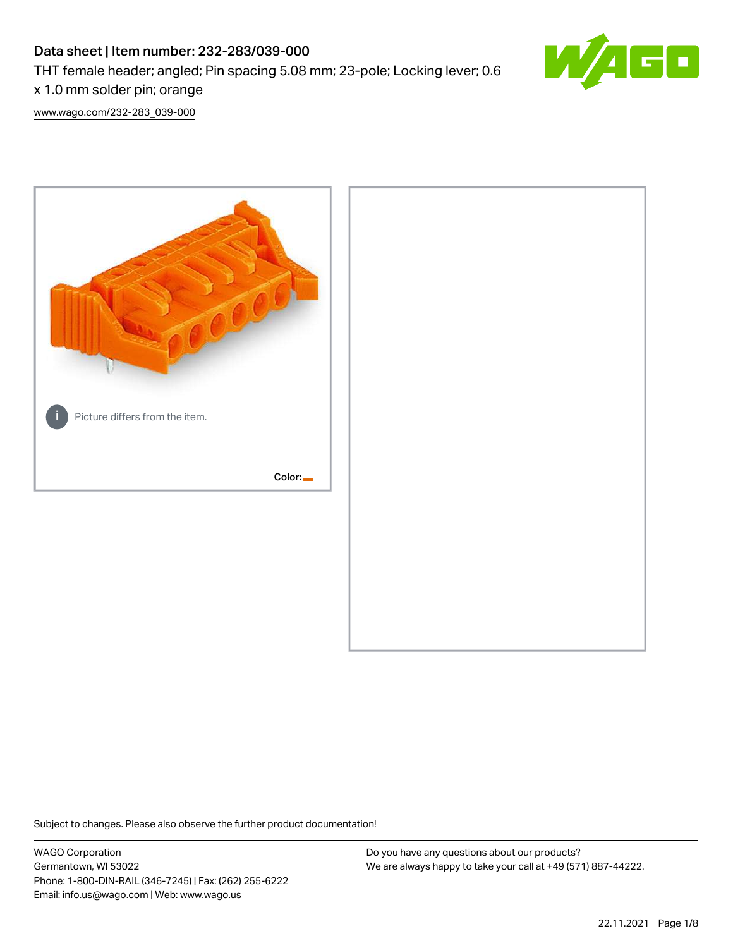# Data sheet | Item number: 232-283/039-000

THT female header; angled; Pin spacing 5.08 mm; 23-pole; Locking lever; 0.6



[www.wago.com/232-283\\_039-000](http://www.wago.com/232-283_039-000)



Subject to changes. Please also observe the further product documentation!

WAGO Corporation Germantown, WI 53022 Phone: 1-800-DIN-RAIL (346-7245) | Fax: (262) 255-6222 Email: info.us@wago.com | Web: www.wago.us

Do you have any questions about our products? We are always happy to take your call at +49 (571) 887-44222.

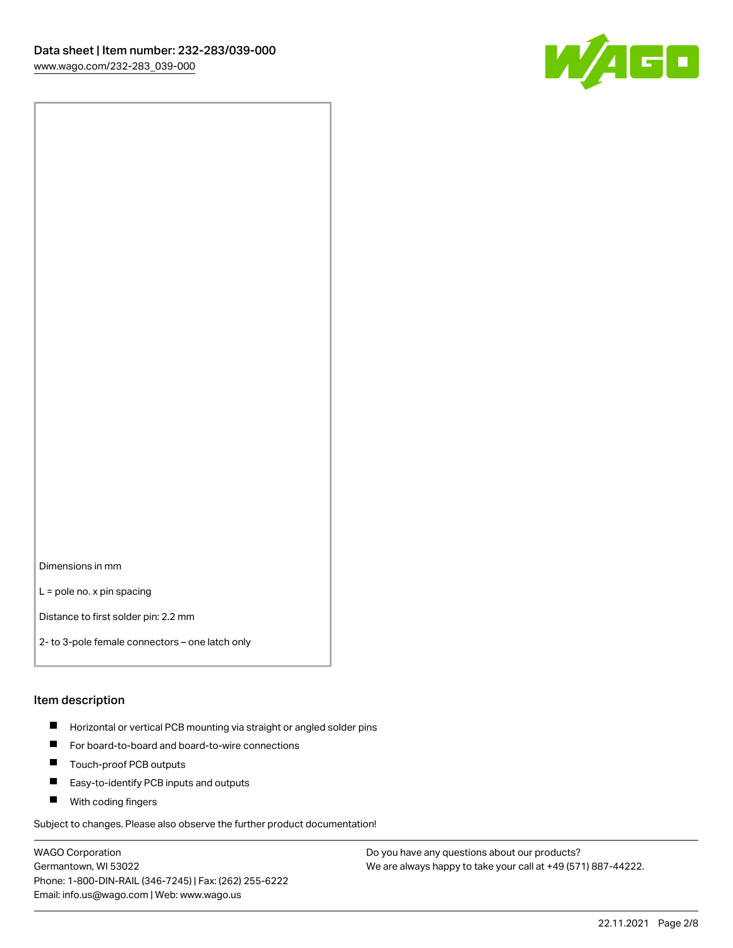

Dimensions in mm

L = pole no. x pin spacing

Distance to first solder pin: 2.2 mm

2- to 3-pole female connectors – one latch only

#### Item description

- **Horizontal or vertical PCB mounting via straight or angled solder pins**
- For board-to-board and board-to-wire connections
- $\blacksquare$ Touch-proof PCB outputs
- $\blacksquare$ Easy-to-identify PCB inputs and outputs
- **Now With coding fingers**

Subject to changes. Please also observe the further product documentation!

WAGO Corporation Germantown, WI 53022 Phone: 1-800-DIN-RAIL (346-7245) | Fax: (262) 255-6222 Email: info.us@wago.com | Web: www.wago.us

Do you have any questions about our products? We are always happy to take your call at +49 (571) 887-44222.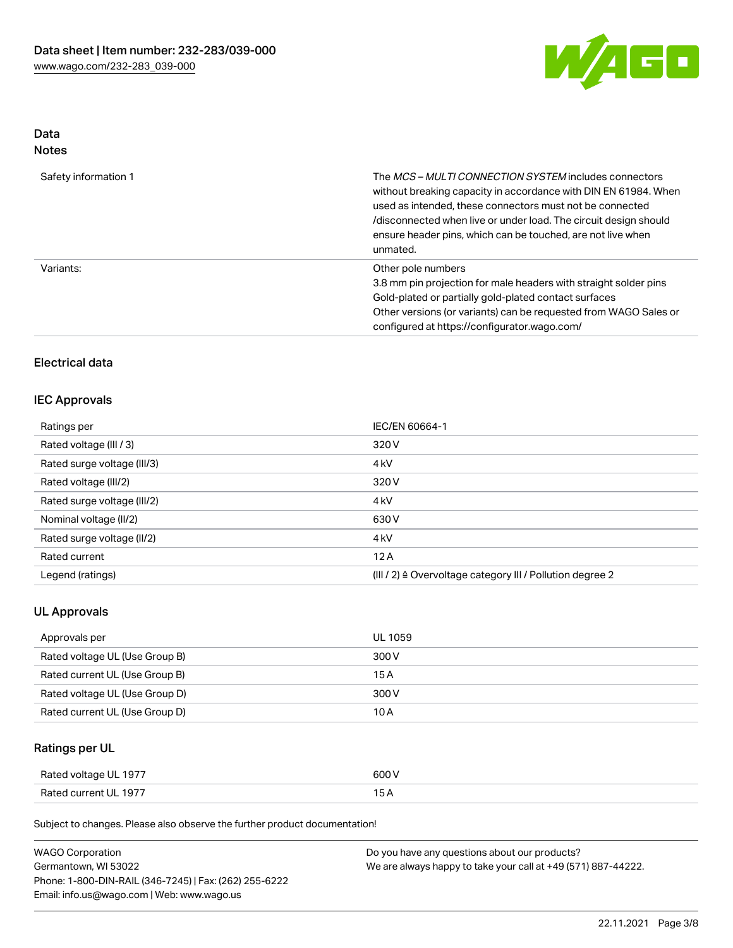

# Data

| Safety information 1 | The <i>MCS – MULTI CONNECTION SYSTEM</i> includes connectors<br>without breaking capacity in accordance with DIN EN 61984. When<br>used as intended, these connectors must not be connected<br>/disconnected when live or under load. The circuit design should<br>ensure header pins, which can be touched, are not live when<br>unmated. |
|----------------------|--------------------------------------------------------------------------------------------------------------------------------------------------------------------------------------------------------------------------------------------------------------------------------------------------------------------------------------------|
| Variants:            | Other pole numbers<br>3.8 mm pin projection for male headers with straight solder pins<br>Gold-plated or partially gold-plated contact surfaces<br>Other versions (or variants) can be requested from WAGO Sales or<br>configured at https://configurator.wago.com/                                                                        |

# Electrical data

### IEC Approvals

| Ratings per                 | IEC/EN 60664-1                                                       |
|-----------------------------|----------------------------------------------------------------------|
| Rated voltage (III / 3)     | 320 V                                                                |
| Rated surge voltage (III/3) | 4 <sub>k</sub> V                                                     |
| Rated voltage (III/2)       | 320 V                                                                |
| Rated surge voltage (III/2) | 4 <sub>k</sub> V                                                     |
| Nominal voltage (II/2)      | 630 V                                                                |
| Rated surge voltage (II/2)  | 4 <sub>k</sub> V                                                     |
| Rated current               | 12A                                                                  |
| Legend (ratings)            | (III / 2) $\triangleq$ Overvoltage category III / Pollution degree 2 |

### UL Approvals

| Approvals per                  | UL 1059 |
|--------------------------------|---------|
| Rated voltage UL (Use Group B) | 300 V   |
| Rated current UL (Use Group B) | 15 A    |
| Rated voltage UL (Use Group D) | 300 V   |
| Rated current UL (Use Group D) | 10 A    |

# Ratings per UL

| Rated voltage UL 1977 | 600 V |
|-----------------------|-------|
| Rated current UL 1977 |       |

Subject to changes. Please also observe the further product documentation!

| <b>WAGO Corporation</b>                                | Do you have any questions about our products?                 |
|--------------------------------------------------------|---------------------------------------------------------------|
| Germantown, WI 53022                                   | We are always happy to take your call at +49 (571) 887-44222. |
| Phone: 1-800-DIN-RAIL (346-7245)   Fax: (262) 255-6222 |                                                               |
| Email: info.us@wago.com   Web: www.wago.us             |                                                               |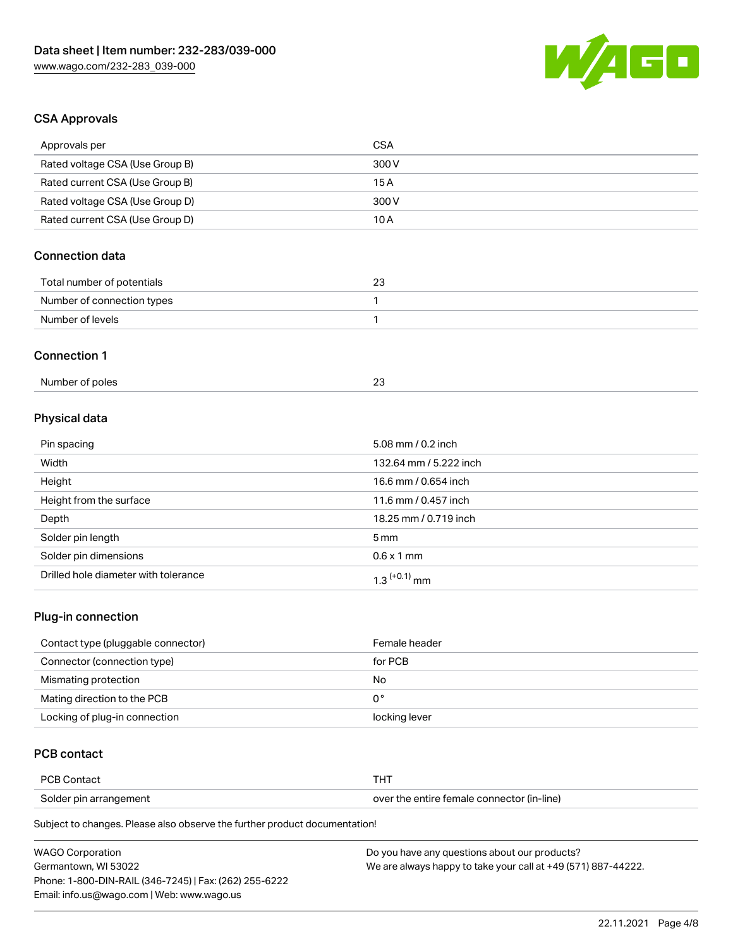

# CSA Approvals

| Approvals per                   | <b>CSA</b>                                             |
|---------------------------------|--------------------------------------------------------|
| Rated voltage CSA (Use Group B) | 300V                                                   |
| Rated current CSA (Use Group B) | 15A                                                    |
| Rated voltage CSA (Use Group D) | 300V                                                   |
| Rated current CSA (Use Group D) | 10A                                                    |
| Connection data                 |                                                        |
| Total number of potentials      | 23                                                     |
| Number of connection types      | 1                                                      |
| Number of levels                | 1                                                      |
| <b>Connection 1</b>             |                                                        |
| Number of poles                 | 23                                                     |
| Physical data                   |                                                        |
| Pin spacing                     | 5.08 mm / 0.2 inch                                     |
| Width                           | 132.64 mm / 5.222 inch                                 |
| Height                          | 16.6 mm / 0.654 inch                                   |
| Hojaht from the ourface         | 11 $\epsilon$ mm $\beta$ $\beta$ $\epsilon$ m $\delta$ |

| .                                    |                            |
|--------------------------------------|----------------------------|
| Height from the surface              | 11.6 mm / 0.457 inch       |
| Depth                                | 18.25 mm / 0.719 inch      |
| Solder pin length                    | 5 mm                       |
| Solder pin dimensions                | $0.6 \times 1$ mm          |
| Drilled hole diameter with tolerance | $1.3$ <sup>(+0.1)</sup> mm |

# Plug-in connection

| Contact type (pluggable connector) | Female header |
|------------------------------------|---------------|
| Connector (connection type)        | for PCB       |
| Mismating protection               | No            |
| Mating direction to the PCB        | 0°            |
| Locking of plug-in connection      | locking lever |

# PCB contact

| <b>PCB Contact</b>     |                                            |
|------------------------|--------------------------------------------|
| Solder pin arrangement | over the entire female connector (in-line) |

Subject to changes. Please also observe the further product documentation!

| <b>WAGO Corporation</b>                                | Do you have any questions about our products?                 |
|--------------------------------------------------------|---------------------------------------------------------------|
| Germantown. WI 53022                                   | We are always happy to take your call at +49 (571) 887-44222. |
| Phone: 1-800-DIN-RAIL (346-7245)   Fax: (262) 255-6222 |                                                               |
| Email: info.us@wago.com   Web: www.wago.us             |                                                               |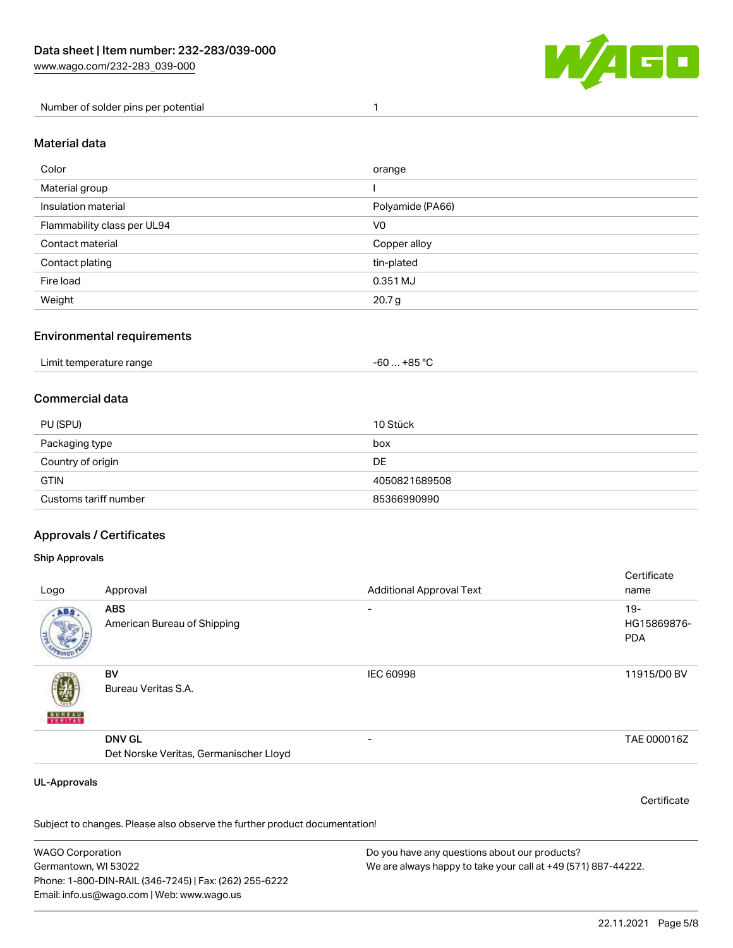

Number of solder pins per potential 1

#### Material data

| Color                       | orange            |
|-----------------------------|-------------------|
| Material group              |                   |
| Insulation material         | Polyamide (PA66)  |
| Flammability class per UL94 | V <sub>0</sub>    |
| Contact material            | Copper alloy      |
| Contact plating             | tin-plated        |
| Fire load                   | 0.351 MJ          |
| Weight                      | 20.7 <sub>g</sub> |

#### Environmental requirements

| Limit temperature range | …+85 °ົ<br>-60 |
|-------------------------|----------------|
|-------------------------|----------------|

### Commercial data

| PU (SPU)              | 10 Stück      |
|-----------------------|---------------|
| Packaging type        | box           |
| Country of origin     | DE.           |
| <b>GTIN</b>           | 4050821689508 |
| Customs tariff number | 85366990990   |

## Approvals / Certificates

#### Ship Approvals

| Logo                | Approval                                                | <b>Additional Approval Text</b> | Certificate<br>name                |
|---------------------|---------------------------------------------------------|---------------------------------|------------------------------------|
| ABS.                | <b>ABS</b><br>American Bureau of Shipping               | $\overline{\phantom{0}}$        | $19-$<br>HG15869876-<br><b>PDA</b> |
| <b>BUREAU</b>       | BV<br>Bureau Veritas S.A.                               | IEC 60998                       | 11915/D0 BV                        |
|                     | <b>DNV GL</b><br>Det Norske Veritas, Germanischer Lloyd |                                 | TAE 000016Z                        |
| <b>UL-Approvals</b> |                                                         |                                 | Certificate                        |

Subject to changes. Please also observe the further product documentation!

WAGO Corporation Germantown, WI 53022 Phone: 1-800-DIN-RAIL (346-7245) | Fax: (262) 255-6222 Email: info.us@wago.com | Web: www.wago.us Do you have any questions about our products? We are always happy to take your call at +49 (571) 887-44222.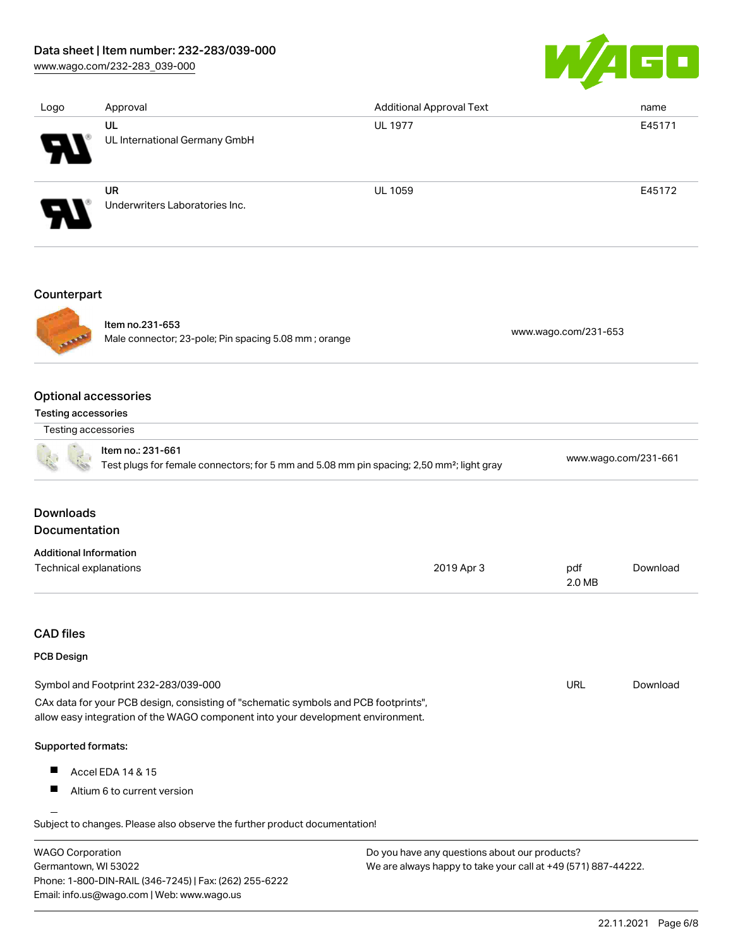## Data sheet | Item number: 232-283/039-000

[www.wago.com/232-283\\_039-000](http://www.wago.com/232-283_039-000)



| Logo                   | Approval                                    | <b>Additional Approval Text</b> | name   |
|------------------------|---------------------------------------------|---------------------------------|--------|
| $\boldsymbol{\theta}$  | UL<br>UL International Germany GmbH         | <b>UL 1977</b>                  | E45171 |
| $\boldsymbol{\varphi}$ | <b>UR</b><br>Underwriters Laboratories Inc. | <b>UL 1059</b>                  | E45172 |
| $C$ ounterport         |                                             |                                 |        |

# Counterpart



# Item no.231-653

Male connector; 23-pole; Pin spacing 5.08 mm ; orange [www.wago.com/231-653](https://www.wago.com/231-653)

## Optional accessories

Testing accessories

| Testing accessories |  |
|---------------------|--|

|  | Item no.: 231-661<br>Test plugs for female connectors; for 5 mm and 5.08 mm pin spacing; 2,50 mm <sup>2</sup> ; light gray | www.wago.com/231-661 |
|--|----------------------------------------------------------------------------------------------------------------------------|----------------------|

# **Downloads** Documentation

#### Additional Information Technical explanations and the control of the control of the control of the control of the control of the control of the control of the control of the control of the control of the control of the control of the control of 2.0 MB [Download](https://www.wago.com/global/d/1435602)

# CAD files

## PCB Design

| Symbol and Footprint 232-283/039-000                                                | URL | Download |
|-------------------------------------------------------------------------------------|-----|----------|
| CAx data for your PCB design, consisting of "schematic symbols and PCB footprints", |     |          |
| allow easy integration of the WAGO component into your development environment.     |     |          |

### Supported formats:

- $\blacksquare$ Accel EDA 14 & 15
- $\blacksquare$ Altium 6 to current version

Subject to changes. Please also observe the further product documentation! Cadence Allegro

| WAGO Corporation                                       | Do you have any questions about our products?                 |
|--------------------------------------------------------|---------------------------------------------------------------|
| Germantown, WI 53022                                   | We are always happy to take your call at +49 (571) 887-44222. |
| Phone: 1-800-DIN-RAIL (346-7245)   Fax: (262) 255-6222 |                                                               |
| Email: info.us@wago.com   Web: www.wago.us             |                                                               |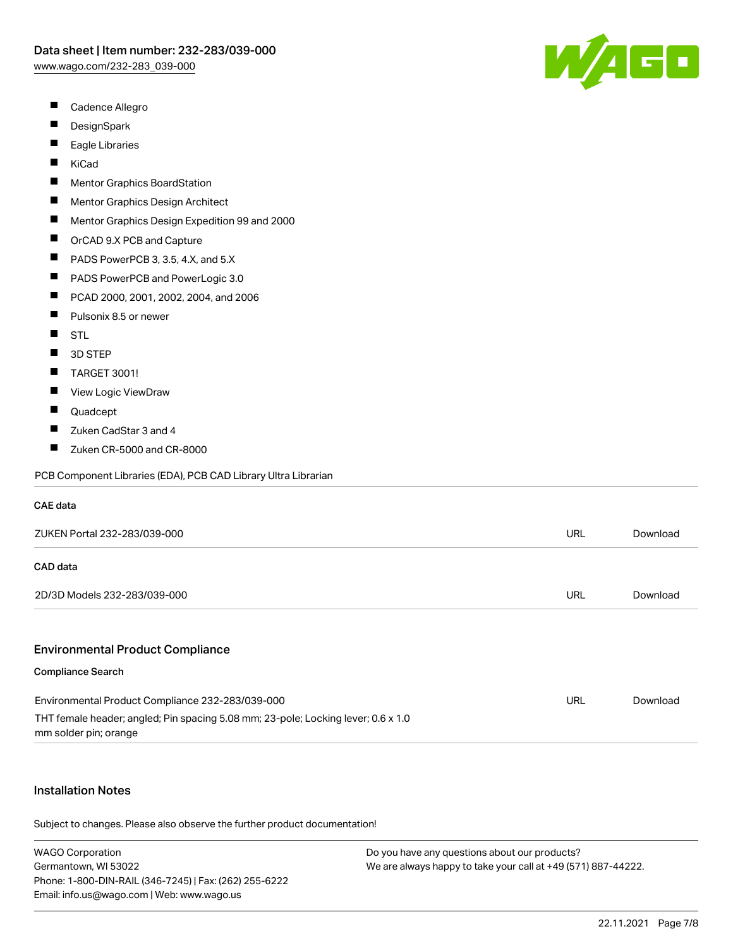W/4GD

- $\blacksquare$ Cadence Allegro
- $\blacksquare$ **DesignSpark**
- $\blacksquare$ Eagle Libraries
- $\blacksquare$ KiCad
- Mentor Graphics BoardStation  $\blacksquare$
- $\blacksquare$ Mentor Graphics Design Architect
- $\blacksquare$ Mentor Graphics Design Expedition 99 and 2000
- $\blacksquare$ OrCAD 9.X PCB and Capture
- $\blacksquare$ PADS PowerPCB 3, 3.5, 4.X, and 5.X
- $\blacksquare$ PADS PowerPCB and PowerLogic 3.0
- PCAD 2000, 2001, 2002, 2004, and 2006
- $\blacksquare$ Pulsonix 8.5 or newer
- $\blacksquare$ STL
- $\blacksquare$ 3D STEP
- $\blacksquare$ TARGET 3001!
- $\blacksquare$ View Logic ViewDraw
- $\blacksquare$ Quadcept
- $\blacksquare$ Zuken CadStar 3 and 4
- $\blacksquare$ Zuken CR-5000 and CR-8000

PCB Component Libraries (EDA), PCB CAD Library Ultra Librarian

#### CAE data

| ZUKEN Portal 232-283/039-000 | <b>URL</b> | Download |
|------------------------------|------------|----------|
| CAD data                     |            |          |
| 2D/3D Models 232-283/039-000 | URL        | Download |
|                              |            |          |

#### Environmental Product Compliance

#### Compliance Search

| Environmental Product Compliance 232-283/039-000                                                           | URL | Download |
|------------------------------------------------------------------------------------------------------------|-----|----------|
| THT female header; angled; Pin spacing 5.08 mm; 23-pole; Locking lever; 0.6 x 1.0<br>mm solder pin; orange |     |          |

## Installation Notes

Subject to changes. Please also observe the further product documentation!

| <b>WAGO Corporation</b>                                | Do you have any questions about our products?                 |
|--------------------------------------------------------|---------------------------------------------------------------|
| Germantown, WI 53022                                   | We are always happy to take your call at +49 (571) 887-44222. |
| Phone: 1-800-DIN-RAIL (346-7245)   Fax: (262) 255-6222 |                                                               |
| Email: info.us@wago.com   Web: www.wago.us             |                                                               |